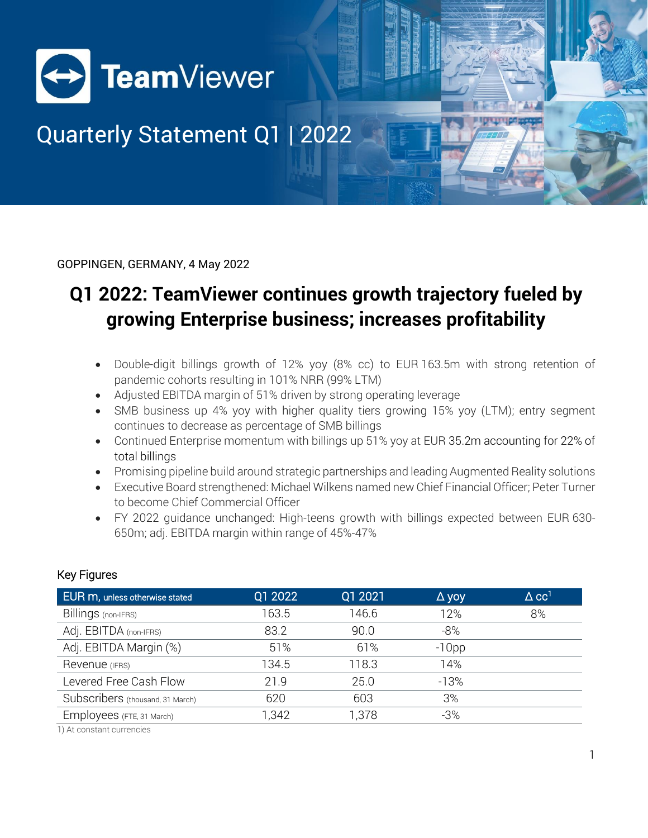

# Quarterly Statement Q1 | 2022

GOPPINGEN, GERMANY, 4 May 2022

## **Q1 2022: TeamViewer continues growth trajectory fueled by growing Enterprise business; increases profitability**

- Double-digit billings growth of 12% yoy (8% cc) to EUR 163.5m with strong retention of pandemic cohorts resulting in 101% NRR (99% LTM)
- Adjusted EBITDA margin of 51% driven by strong operating leverage
- SMB business up 4% yoy with higher quality tiers growing 15% yoy (LTM); entry segment continues to decrease as percentage of SMB billings
- Continued Enterprise momentum with billings up 51% yoy at EUR 35.2m accounting for 22% of total billings
- Promising pipeline build around strategic partnerships and leading Augmented Reality solutions
- Executive Board strengthened: Michael Wilkens named new Chief Financial Officer; Peter Turner to become Chief Commercial Officer
- FY 2022 guidance unchanged: High-teens growth with billings expected between EUR 630- 650m; adj. EBITDA margin within range of 45%-47%

| EUR m, unless otherwise stated   | Q1 2022     | Q1 2021 | $\Delta$ yoy | $\triangle$ CC <sup>1</sup> |
|----------------------------------|-------------|---------|--------------|-----------------------------|
| Billings (non-IFRS)              | 163.5       | 146.6   | 12%          | 8%                          |
| Adj. EBITDA (non-IFRS)           | 83.2        | 90.0    | $-8%$        |                             |
| Adj. EBITDA Margin (%)           | 51%         | 61%     | $-10$ pp     |                             |
| Revenue (IFRS)                   | 134.5       | 118.3   | 14%          |                             |
| Levered Free Cash Flow           | 21.9        | 25.0    | $-13%$       |                             |
| Subscribers (thousand, 31 March) | 620         | 603     | 3%           |                             |
| Employees (FTE, 31 March)        | <b>342,</b> | 1,378   | $-3%$        |                             |

#### Key Figures

1) At constant currencies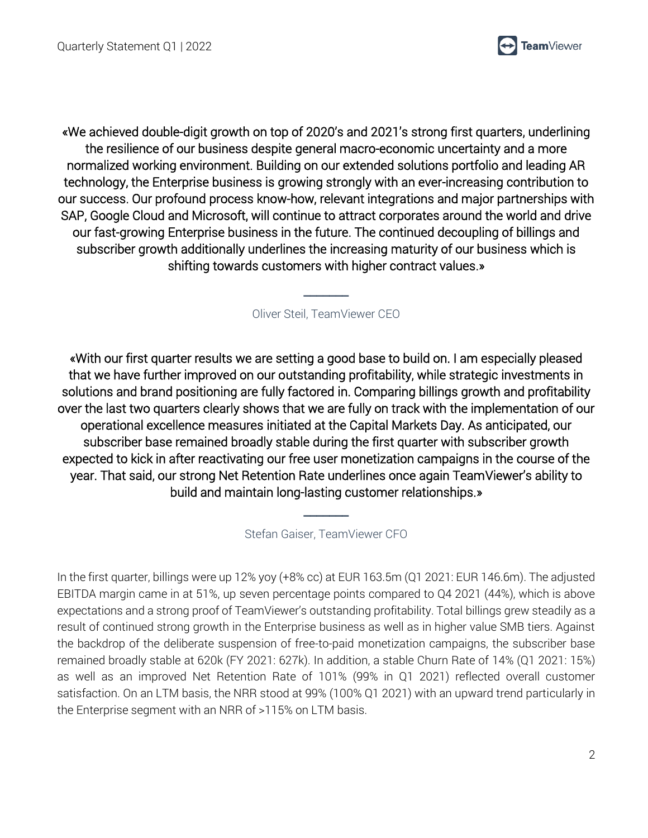

«We achieved double-digit growth on top of 2020's and 2021's strong first quarters, underlining the resilience of our business despite general macro-economic uncertainty and a more normalized working environment. Building on our extended solutions portfolio and leading AR technology, the Enterprise business is growing strongly with an ever-increasing contribution to our success. Our profound process know-how, relevant integrations and major partnerships with SAP, Google Cloud and Microsoft, will continue to attract corporates around the world and drive our fast-growing Enterprise business in the future. The continued decoupling of billings and subscriber growth additionally underlines the increasing maturity of our business which is shifting towards customers with higher contract values.»

Oliver Steil, TeamViewer CEO

 $\overline{\phantom{a}}$ 

«With our first quarter results we are setting a good base to build on. I am especially pleased that we have further improved on our outstanding profitability, while strategic investments in solutions and brand positioning are fully factored in. Comparing billings growth and profitability over the last two quarters clearly shows that we are fully on track with the implementation of our operational excellence measures initiated at the Capital Markets Day. As anticipated, our subscriber base remained broadly stable during the first quarter with subscriber growth expected to kick in after reactivating our free user monetization campaigns in the course of the year. That said, our strong Net Retention Rate underlines once again TeamViewer's ability to build and maintain long-lasting customer relationships.»

Stefan Gaiser, TeamViewer CFO

 $\overline{\phantom{a}}$ 

In the first quarter, billings were up 12% yoy (+8% cc) at EUR 163.5m (Q1 2021: EUR 146.6m). The adjusted EBITDA margin came in at 51%, up seven percentage points compared to Q4 2021 (44%), which is above expectations and a strong proof of TeamViewer's outstanding profitability. Total billings grew steadily as a result of continued strong growth in the Enterprise business as well as in higher value SMB tiers. Against the backdrop of the deliberate suspension of free-to-paid monetization campaigns, the subscriber base remained broadly stable at 620k (FY 2021: 627k). In addition, a stable Churn Rate of 14% (Q1 2021: 15%) as well as an improved Net Retention Rate of 101% (99% in Q1 2021) reflected overall customer satisfaction. On an LTM basis, the NRR stood at 99% (100% Q1 2021) with an upward trend particularly in the Enterprise segment with an NRR of >115% on LTM basis.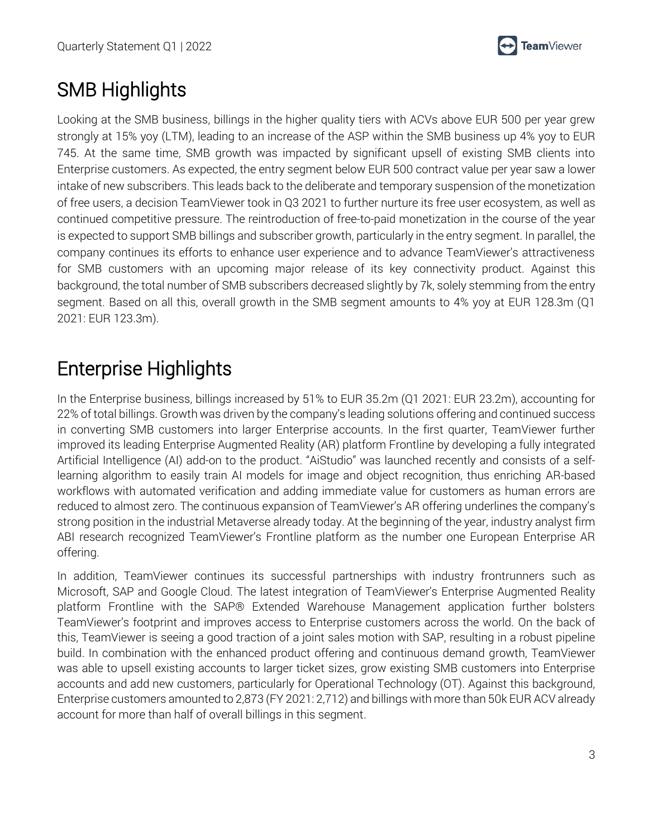

## SMB Highlights

Looking at the SMB business, billings in the higher quality tiers with ACVs above EUR 500 per year grew strongly at 15% yoy (LTM), leading to an increase of the ASP within the SMB business up 4% yoy to EUR 745. At the same time, SMB growth was impacted by significant upsell of existing SMB clients into Enterprise customers. As expected, the entry segment below EUR 500 contract value per year saw a lower intake of new subscribers. This leads back to the deliberate and temporary suspension of the monetization of free users, a decision TeamViewer took in Q3 2021 to further nurture its free user ecosystem, as well as continued competitive pressure. The reintroduction of free-to-paid monetization in the course of the year is expected to support SMB billings and subscriber growth, particularly in the entry segment. In parallel, the company continues its efforts to enhance user experience and to advance TeamViewer's attractiveness for SMB customers with an upcoming major release of its key connectivity product. Against this background, the total number of SMB subscribers decreased slightly by 7k, solely stemming from the entry segment. Based on all this, overall growth in the SMB segment amounts to 4% yoy at EUR 128.3m (Q1 2021: EUR 123.3m).

### Enterprise Highlights

In the Enterprise business, billings increased by 51% to EUR 35.2m (Q1 2021: EUR 23.2m), accounting for 22% of total billings. Growth was driven by the company's leading solutions offering and continued success in converting SMB customers into larger Enterprise accounts. In the first quarter, TeamViewer further improved its leading Enterprise Augmented Reality (AR) platform Frontline by developing a fully integrated Artificial Intelligence (AI) add-on to the product. "AiStudio" was launched recently and consists of a selflearning algorithm to easily train AI models for image and object recognition, thus enriching AR-based workflows with automated verification and adding immediate value for customers as human errors are reduced to almost zero. The continuous expansion of TeamViewer's AR offering underlines the company's strong position in the industrial Metaverse already today. At the beginning of the year, industry analyst firm ABI research recognized TeamViewer's Frontline platform as the number one European Enterprise AR offering.

In addition, TeamViewer continues its successful partnerships with industry frontrunners such as Microsoft, SAP and Google Cloud. The latest integration of TeamViewer's Enterprise Augmented Reality platform Frontline with the SAP® Extended Warehouse Management application further bolsters TeamViewer's footprint and improves access to Enterprise customers across the world. On the back of this, TeamViewer is seeing a good traction of a joint sales motion with SAP, resulting in a robust pipeline build. In combination with the enhanced product offering and continuous demand growth, TeamViewer was able to upsell existing accounts to larger ticket sizes, grow existing SMB customers into Enterprise accounts and add new customers, particularly for Operational Technology (OT). Against this background, Enterprise customers amounted to 2,873 (FY 2021: 2,712) and billings with more than 50k EUR ACV already account for more than half of overall billings in this segment.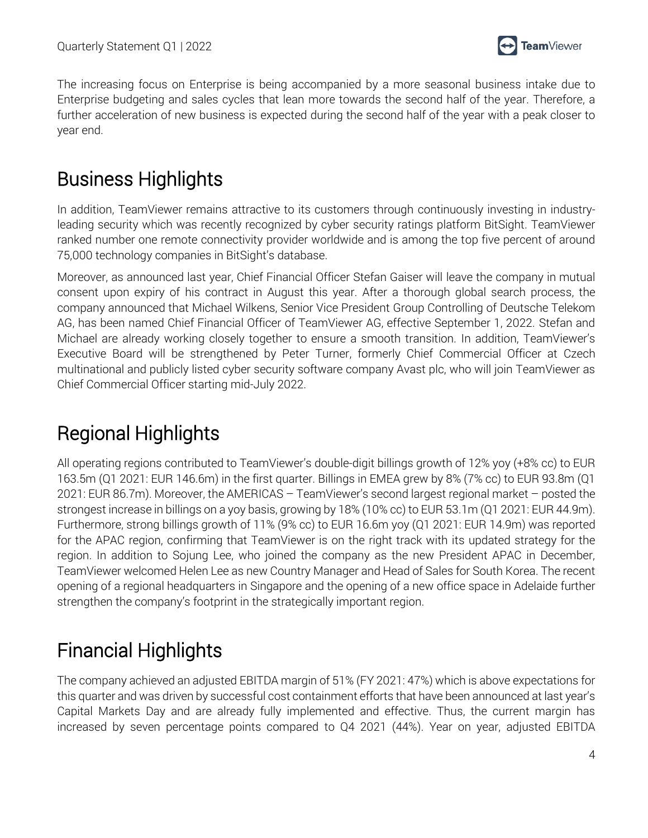

The increasing focus on Enterprise is being accompanied by a more seasonal business intake due to Enterprise budgeting and sales cycles that lean more towards the second half of the year. Therefore, a further acceleration of new business is expected during the second half of the year with a peak closer to year end.

### Business Highlights

In addition, TeamViewer remains attractive to its customers through continuously investing in industryleading security which was recently recognized by cyber security ratings platform BitSight. TeamViewer ranked number one remote connectivity provider worldwide and is among the top five percent of around 75,000 technology companies in BitSight's database.

Moreover, as announced last year, Chief Financial Officer Stefan Gaiser will leave the company in mutual consent upon expiry of his contract in August this year. After a thorough global search process, the company announced that Michael Wilkens, Senior Vice President Group Controlling of Deutsche Telekom AG, has been named Chief Financial Officer of TeamViewer AG, effective September 1, 2022. Stefan and Michael are already working closely together to ensure a smooth transition. In addition, TeamViewer's Executive Board will be strengthened by Peter Turner, formerly Chief Commercial Officer at Czech multinational and publicly listed cyber security software company Avast plc, who will join TeamViewer as Chief Commercial Officer starting mid-July 2022.

## Regional Highlights

All operating regions contributed to TeamViewer's double-digit billings growth of 12% yoy (+8% cc) to EUR 163.5m (Q1 2021: EUR 146.6m) in the first quarter. Billings in EMEA grew by 8% (7% cc) to EUR 93.8m (Q1 2021: EUR 86.7m). Moreover, the AMERICAS – TeamViewer's second largest regional market – posted the strongest increase in billings on a yoy basis, growing by 18% (10% cc) to EUR 53.1m (Q1 2021: EUR 44.9m). Furthermore, strong billings growth of 11% (9% cc) to EUR 16.6m yoy (Q1 2021: EUR 14.9m) was reported for the APAC region, confirming that TeamViewer is on the right track with its updated strategy for the region. In addition to Sojung Lee, who joined the company as the new President APAC in December, TeamViewer welcomed Helen Lee as new Country Manager and Head of Sales for South Korea. The recent opening of a regional headquarters in Singapore and the opening of a new office space in Adelaide further strengthen the company's footprint in the strategically important region.

## Financial Highlights

The company achieved an adjusted EBITDA margin of 51% (FY 2021: 47%) which is above expectations for this quarter and was driven by successful cost containment efforts that have been announced at last year's Capital Markets Day and are already fully implemented and effective. Thus, the current margin has increased by seven percentage points compared to Q4 2021 (44%). Year on year, adjusted EBITDA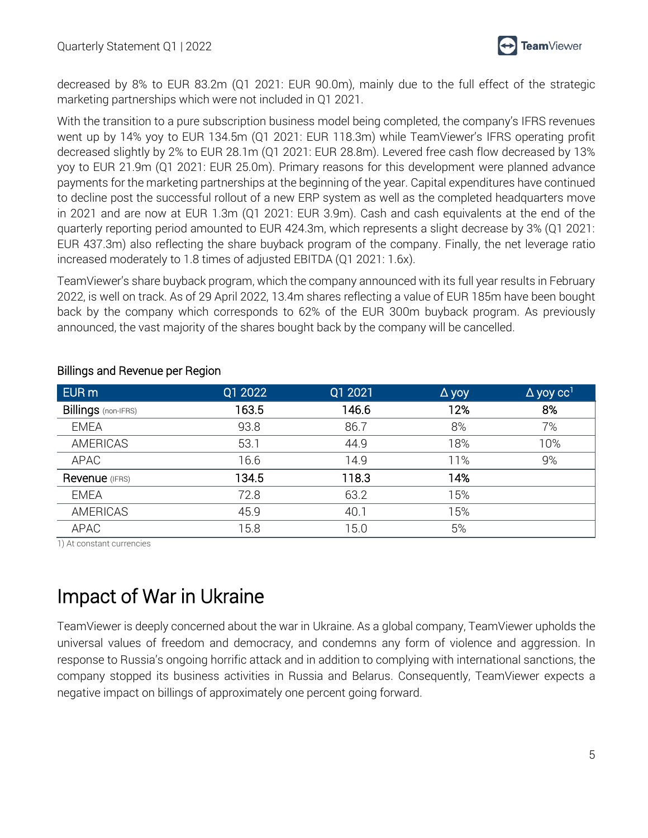

decreased by 8% to EUR 83.2m (Q1 2021: EUR 90.0m), mainly due to the full effect of the strategic marketing partnerships which were not included in Q1 2021.

With the transition to a pure subscription business model being completed, the company's IFRS revenues went up by 14% yoy to EUR 134.5m (Q1 2021: EUR 118.3m) while TeamViewer's IFRS operating profit decreased slightly by 2% to EUR 28.1m (Q1 2021: EUR 28.8m). Levered free cash flow decreased by 13% yoy to EUR 21.9m (Q1 2021: EUR 25.0m). Primary reasons for this development were planned advance payments for the marketing partnerships at the beginning of the year. Capital expenditures have continued to decline post the successful rollout of a new ERP system as well as the completed headquarters move in 2021 and are now at EUR 1.3m (Q1 2021: EUR 3.9m). Cash and cash equivalents at the end of the quarterly reporting period amounted to EUR 424.3m, which represents a slight decrease by 3% (Q1 2021: EUR 437.3m) also reflecting the share buyback program of the company. Finally, the net leverage ratio increased moderately to 1.8 times of adjusted EBITDA (Q1 2021: 1.6x).

TeamViewer's share buyback program, which the company announced with its full year results in February 2022, is well on track. As of 29 April 2022, 13.4m shares reflecting a value of EUR 185m have been bought back by the company which corresponds to 62% of the EUR 300m buyback program. As previously announced, the vast majority of the shares bought back by the company will be cancelled.

| EUR <sub>m</sub>           | Q1 2022 | Q1 2021 | $\Delta$ yoy | $\Delta$ yoy cc <sup>1</sup> |
|----------------------------|---------|---------|--------------|------------------------------|
| <b>Billings</b> (non-IFRS) | 163.5   | 146.6   | 12%          | 8%                           |
| <b>EMEA</b>                | 93.8    | 86.7    | 8%           | 7%                           |
| AMERICAS                   | 53.1    | 44.9    | 18%          | 10%                          |
| APAC                       | 16.6    | 14.9    | 11%          | 9%                           |
| Revenue (IFRS)             | 134.5   | 118.3   | 14%          |                              |
| <b>EMEA</b>                | 72.8    | 63.2    | 15%          |                              |
| <b>AMERICAS</b>            | 45.9    | 40.1    | 15%          |                              |
| <b>APAC</b>                | 15.8    | 15.0    | 5%           |                              |

#### Billings and Revenue per Region

1) At constant currencies

### Impact of War in Ukraine

TeamViewer is deeply concerned about the war in Ukraine. As a global company, TeamViewer upholds the universal values of freedom and democracy, and condemns any form of violence and aggression. In response to Russia's ongoing horrific attack and in addition to complying with international sanctions, the company stopped its business activities in Russia and Belarus. Consequently, TeamViewer expects a negative impact on billings of approximately one percent going forward.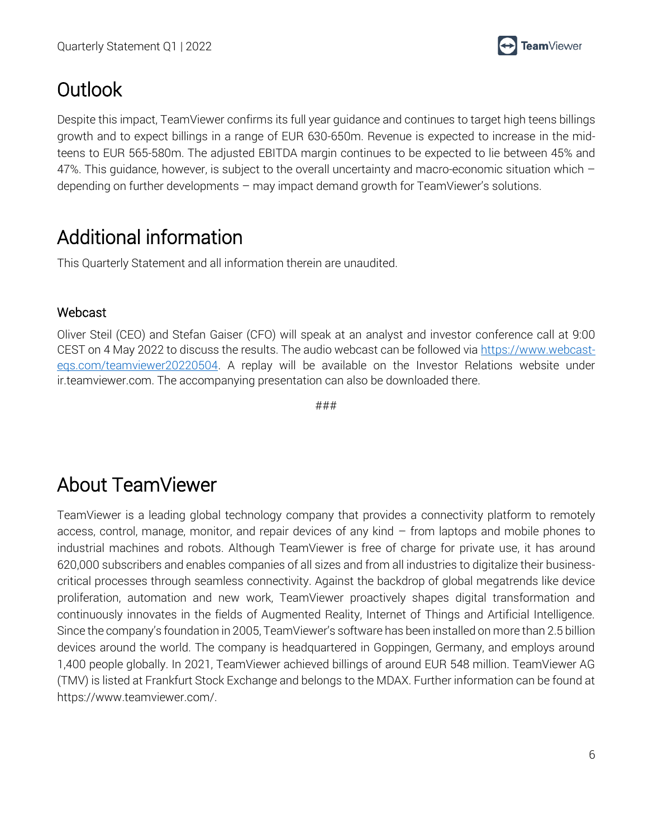

## **Outlook**

Despite this impact, TeamViewer confirms its full year guidance and continues to target high teens billings growth and to expect billings in a range of EUR 630-650m. Revenue is expected to increase in the midteens to EUR 565-580m. The adjusted EBITDA margin continues to be expected to lie between 45% and 47%. This guidance, however, is subject to the overall uncertainty and macro-economic situation which – depending on further developments – may impact demand growth for TeamViewer's solutions.

## Additional information

This Quarterly Statement and all information therein are unaudited.

### Webcast

Oliver Steil (CEO) and Stefan Gaiser (CFO) will speak at an analyst and investor conference call at 9:00 CEST on 4 May 2022 to discuss the results. The audio webcast can be followed via [https://www.webcast](https://eur04.safelinks.protection.outlook.com/?url=https%3A%2F%2Fwww.webcast-eqs.com%2Fteamviewer20220504&data=05%7C01%7Ctstaschik%40heringschuppener.com%7Cf7bbd88c338d49b4c0ca08da28fa4b60%7Cfd71000af42246a3b2a0a85aee211787%7C1%7C0%7C637867352730312532%7CUnknown%7CTWFpbGZsb3d8eyJWIjoiMC4wLjAwMDAiLCJQIjoiV2luMzIiLCJBTiI6Ik1haWwiLCJXVCI6Mn0%3D%7C3000%7C%7C%7C&sdata=zg7jtmpY7cz9uCDWnUvhJKgpqP18AdsxNb4GXYyC4hg%3D&reserved=0)[eqs.com/teamviewer20220504.](https://eur04.safelinks.protection.outlook.com/?url=https%3A%2F%2Fwww.webcast-eqs.com%2Fteamviewer20220504&data=05%7C01%7Ctstaschik%40heringschuppener.com%7Cf7bbd88c338d49b4c0ca08da28fa4b60%7Cfd71000af42246a3b2a0a85aee211787%7C1%7C0%7C637867352730312532%7CUnknown%7CTWFpbGZsb3d8eyJWIjoiMC4wLjAwMDAiLCJQIjoiV2luMzIiLCJBTiI6Ik1haWwiLCJXVCI6Mn0%3D%7C3000%7C%7C%7C&sdata=zg7jtmpY7cz9uCDWnUvhJKgpqP18AdsxNb4GXYyC4hg%3D&reserved=0) A replay will be available on the Investor Relations website under ir.teamviewer.com. The accompanying presentation can also be downloaded there.

###

### About TeamViewer

TeamViewer is a leading global technology company that provides a connectivity platform to remotely access, control, manage, monitor, and repair devices of any kind – from laptops and mobile phones to industrial machines and robots. Although TeamViewer is free of charge for private use, it has around 620,000 subscribers and enables companies of all sizes and from all industries to digitalize their businesscritical processes through seamless connectivity. Against the backdrop of global megatrends like device proliferation, automation and new work, TeamViewer proactively shapes digital transformation and continuously innovates in the fields of Augmented Reality, Internet of Things and Artificial Intelligence. Since the company's foundation in 2005, TeamViewer's software has been installed on more than 2.5 billion devices around the world. The company is headquartered in Goppingen, Germany, and employs around 1,400 people globally. In 2021, TeamViewer achieved billings of around EUR 548 million. TeamViewer AG (TMV) is listed at Frankfurt Stock Exchange and belongs to the MDAX. Further information can be found at https://www.teamviewer.com/.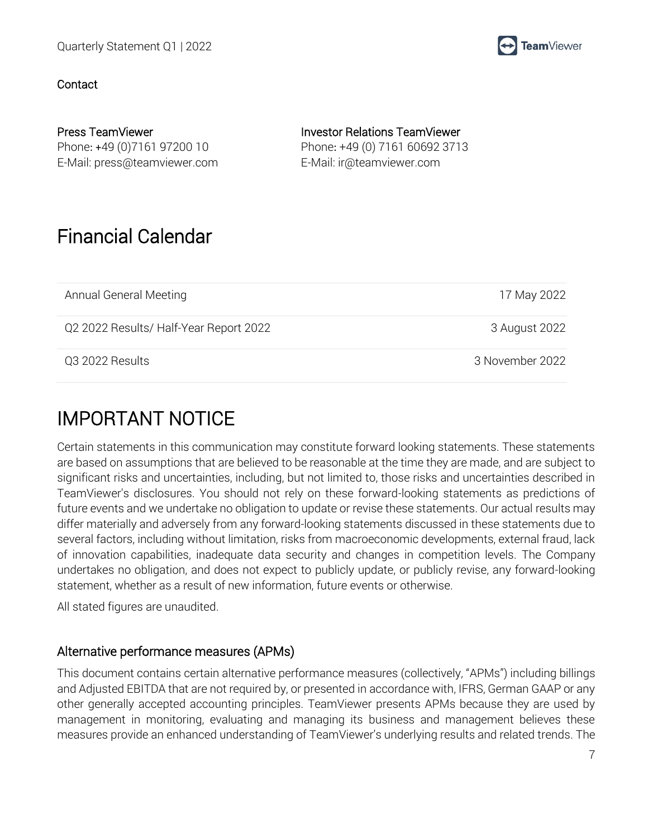### Contact

Press TeamViewer Phone: +49 (0)7161 97200 10 E-Mail: press@teamviewer.com Investor Relations TeamViewer Phone: +49 (0) 7161 60692 3713 E-Mail: ir@teamviewer.com

### Financial Calendar

| Annual General Meeting                 | 17 May 2022     |
|----------------------------------------|-----------------|
| Q2 2022 Results/ Half-Year Report 2022 | 3 August 2022   |
| Q3 2022 Results                        | 3 November 2022 |

## IMPORTANT NOTICE

Certain statements in this communication may constitute forward looking statements. These statements are based on assumptions that are believed to be reasonable at the time they are made, and are subject to significant risks and uncertainties, including, but not limited to, those risks and uncertainties described in TeamViewer's disclosures. You should not rely on these forward-looking statements as predictions of future events and we undertake no obligation to update or revise these statements. Our actual results may differ materially and adversely from any forward-looking statements discussed in these statements due to several factors, including without limitation, risks from macroeconomic developments, external fraud, lack of innovation capabilities, inadequate data security and changes in competition levels. The Company undertakes no obligation, and does not expect to publicly update, or publicly revise, any forward-looking statement, whether as a result of new information, future events or otherwise.

All stated figures are unaudited.

#### Alternative performance measures (APMs)

This document contains certain alternative performance measures (collectively, "APMs") including billings and Adjusted EBITDA that are not required by, or presented in accordance with, IFRS, German GAAP or any other generally accepted accounting principles. TeamViewer presents APMs because they are used by management in monitoring, evaluating and managing its business and management believes these measures provide an enhanced understanding of TeamViewer's underlying results and related trends. The

TeamViewer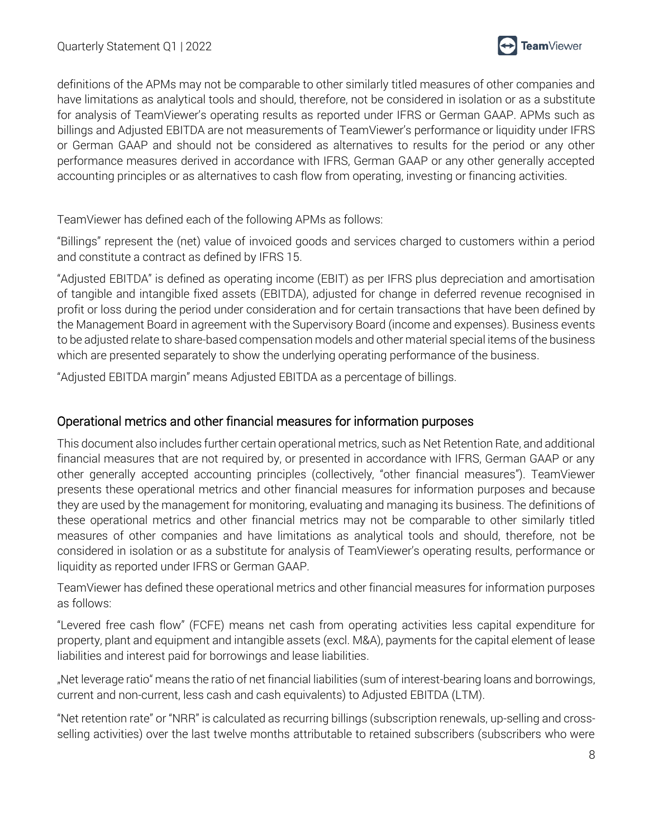

definitions of the APMs may not be comparable to other similarly titled measures of other companies and have limitations as analytical tools and should, therefore, not be considered in isolation or as a substitute for analysis of TeamViewer's operating results as reported under IFRS or German GAAP. APMs such as billings and Adjusted EBITDA are not measurements of TeamViewer's performance or liquidity under IFRS or German GAAP and should not be considered as alternatives to results for the period or any other performance measures derived in accordance with IFRS, German GAAP or any other generally accepted accounting principles or as alternatives to cash flow from operating, investing or financing activities.

TeamViewer has defined each of the following APMs as follows:

"Billings" represent the (net) value of invoiced goods and services charged to customers within a period and constitute a contract as defined by IFRS 15.

"Adjusted EBITDA" is defined as operating income (EBIT) as per IFRS plus depreciation and amortisation of tangible and intangible fixed assets (EBITDA), adjusted for change in deferred revenue recognised in profit or loss during the period under consideration and for certain transactions that have been defined by the Management Board in agreement with the Supervisory Board (income and expenses). Business events to be adjusted relate to share-based compensation models and other material special items of the business which are presented separately to show the underlying operating performance of the business.

"Adjusted EBITDA margin" means Adjusted EBITDA as a percentage of billings.

### Operational metrics and other financial measures for information purposes

This document also includes further certain operational metrics, such as Net Retention Rate, and additional financial measures that are not required by, or presented in accordance with IFRS, German GAAP or any other generally accepted accounting principles (collectively, "other financial measures"). TeamViewer presents these operational metrics and other financial measures for information purposes and because they are used by the management for monitoring, evaluating and managing its business. The definitions of these operational metrics and other financial metrics may not be comparable to other similarly titled measures of other companies and have limitations as analytical tools and should, therefore, not be considered in isolation or as a substitute for analysis of TeamViewer's operating results, performance or liquidity as reported under IFRS or German GAAP.

TeamViewer has defined these operational metrics and other financial measures for information purposes as follows:

"Levered free cash flow" (FCFE) means net cash from operating activities less capital expenditure for property, plant and equipment and intangible assets (excl. M&A), payments for the capital element of lease liabilities and interest paid for borrowings and lease liabilities.

"Net leverage ratio" means the ratio of net financial liabilities (sum of interest-bearing loans and borrowings, current and non-current, less cash and cash equivalents) to Adjusted EBITDA (LTM).

"Net retention rate" or "NRR" is calculated as recurring billings (subscription renewals, up-selling and crossselling activities) over the last twelve months attributable to retained subscribers (subscribers who were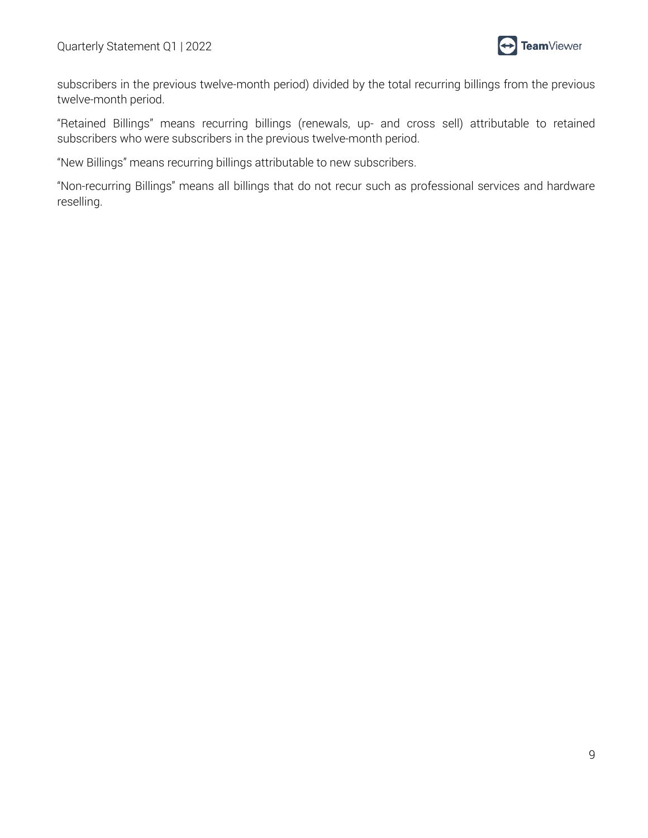

subscribers in the previous twelve-month period) divided by the total recurring billings from the previous twelve-month period.

"Retained Billings" means recurring billings (renewals, up- and cross sell) attributable to retained subscribers who were subscribers in the previous twelve-month period.

"New Billings" means recurring billings attributable to new subscribers.

"Non-recurring Billings" means all billings that do not recur such as professional services and hardware reselling.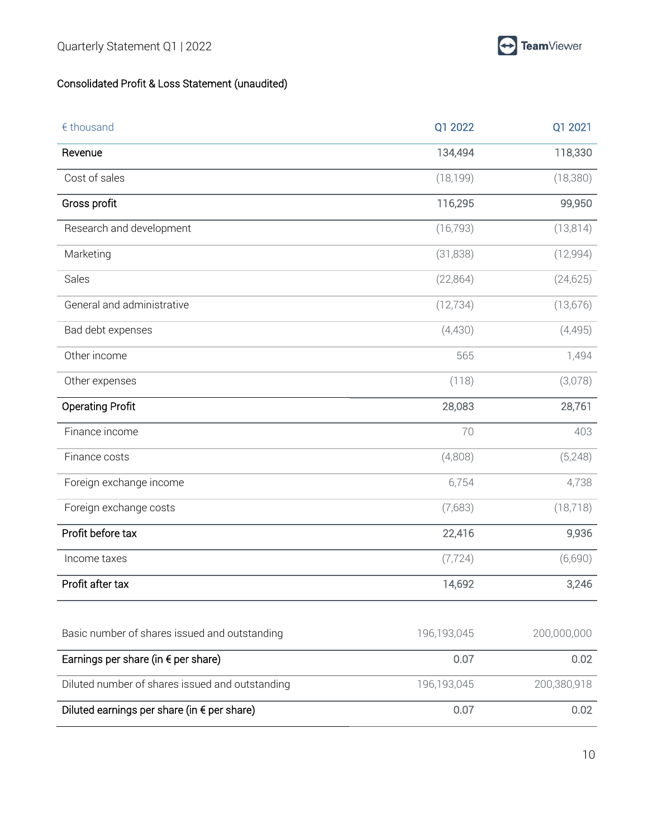### Consolidated Profit & Loss Statement (unaudited)

| € thousand                                      | Q1 2022     | Q1 2021     |
|-------------------------------------------------|-------------|-------------|
| Revenue                                         | 134,494     | 118,330     |
| Cost of sales                                   | (18, 199)   | (18, 380)   |
| Gross profit                                    | 116,295     | 99,950      |
| Research and development                        | (16, 793)   | (13, 814)   |
| Marketing                                       | (31,838)    | (12,994)    |
| Sales                                           | (22,864)    | (24, 625)   |
| General and administrative                      | (12, 734)   | (13,676)    |
| Bad debt expenses                               | (4,430)     | (4,495)     |
| Other income                                    | 565         | 1,494       |
| Other expenses                                  | (118)       | (3,078)     |
| <b>Operating Profit</b>                         | 28,083      | 28,761      |
| Finance income                                  | 70          | 403         |
| Finance costs                                   | (4,808)     | (5,248)     |
| Foreign exchange income                         | 6,754       | 4,738       |
| Foreign exchange costs                          | (7,683)     | (18, 718)   |
| Profit before tax                               | 22,416      | 9,936       |
| Income taxes                                    | (7, 724)    | (6,690)     |
| Profit after tax                                | 14,692      | 3,246       |
|                                                 |             |             |
| Basic number of shares issued and outstanding   | 196,193,045 | 200,000,000 |
| Earnings per share (in $\epsilon$ per share)    | 0.07        | 0.02        |
| Diluted number of shares issued and outstanding | 196,193,045 | 200,380,918 |
| Diluted earnings per share (in € per share)     | 0.07        | 0.02        |

**D** TeamViewer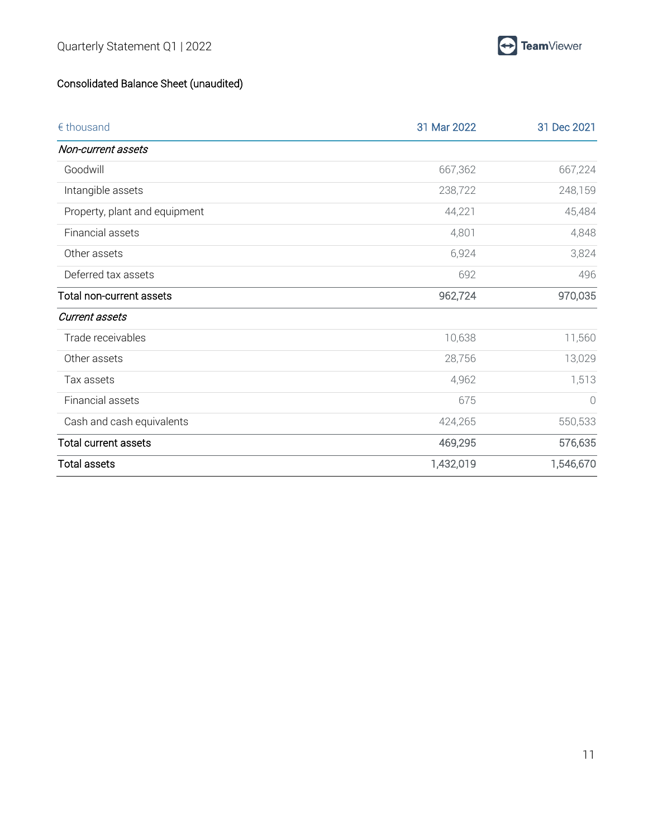

### Consolidated Balance Sheet (unaudited)

| $\epsilon$ thousand           | 31 Mar 2022 | 31 Dec 2021 |
|-------------------------------|-------------|-------------|
| Non-current assets            |             |             |
| Goodwill                      | 667,362     | 667,224     |
| Intangible assets             | 238,722     | 248,159     |
| Property, plant and equipment | 44,221      | 45,484      |
| Financial assets              | 4,801       | 4,848       |
| Other assets                  | 6,924       | 3,824       |
| Deferred tax assets           | 692         | 496         |
| Total non-current assets      | 962,724     | 970,035     |
| Current assets                |             |             |
| Trade receivables             | 10,638      | 11,560      |
| Other assets                  | 28,756      | 13,029      |
| Tax assets                    | 4,962       | 1,513       |
| Financial assets              | 675         | $\bigcirc$  |
| Cash and cash equivalents     | 424,265     | 550,533     |
| <b>Total current assets</b>   | 469,295     | 576,635     |
| <b>Total assets</b>           | 1,432,019   | 1,546,670   |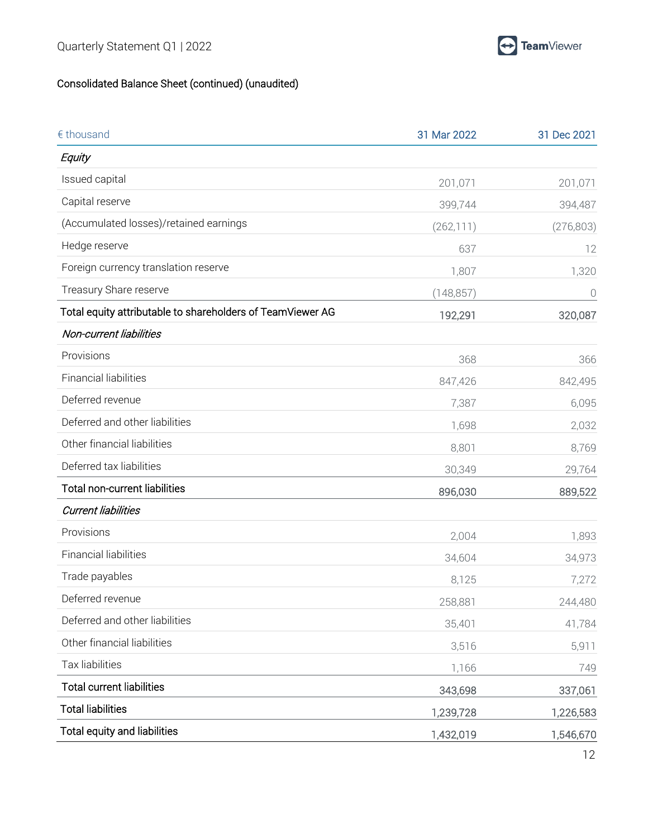

| € thousand                                                 | 31 Mar 2022 | 31 Dec 2021 |
|------------------------------------------------------------|-------------|-------------|
| Equity                                                     |             |             |
| Issued capital                                             | 201,071     | 201,071     |
| Capital reserve                                            | 399,744     | 394,487     |
| (Accumulated losses)/retained earnings                     | (262, 111)  | (276, 803)  |
| Hedge reserve                                              | 637         | 12          |
| Foreign currency translation reserve                       | 1,807       | 1,320       |
| Treasury Share reserve                                     | (148, 857)  | 0           |
| Total equity attributable to shareholders of TeamViewer AG | 192,291     | 320,087     |
| Non-current liabilities                                    |             |             |
| Provisions                                                 | 368         | 366         |
| <b>Financial liabilities</b>                               | 847,426     | 842,495     |
| Deferred revenue                                           | 7,387       | 6,095       |
| Deferred and other liabilities                             | 1,698       | 2,032       |
| Other financial liabilities                                | 8,801       | 8,769       |
| Deferred tax liabilities                                   | 30,349      | 29,764      |
| <b>Total non-current liabilities</b>                       | 896,030     | 889,522     |
| <b>Current liabilities</b>                                 |             |             |
| Provisions                                                 | 2,004       | 1,893       |
| <b>Financial liabilities</b>                               | 34,604      | 34,973      |
| Trade payables                                             | 8,125       | 7,272       |
| Deferred revenue                                           | 258,881     | 244,480     |
| Deferred and other liabilities                             | 35,401      | 41,784      |
| Other financial liabilities                                | 3,516       | 5,911       |
| <b>Tax liabilities</b>                                     | 1,166       | 749         |
| <b>Total current liabilities</b>                           | 343,698     | 337,061     |
| <b>Total liabilities</b>                                   | 1,239,728   | 1,226,583   |
| Total equity and liabilities                               | 1,432,019   | 1,546,670   |

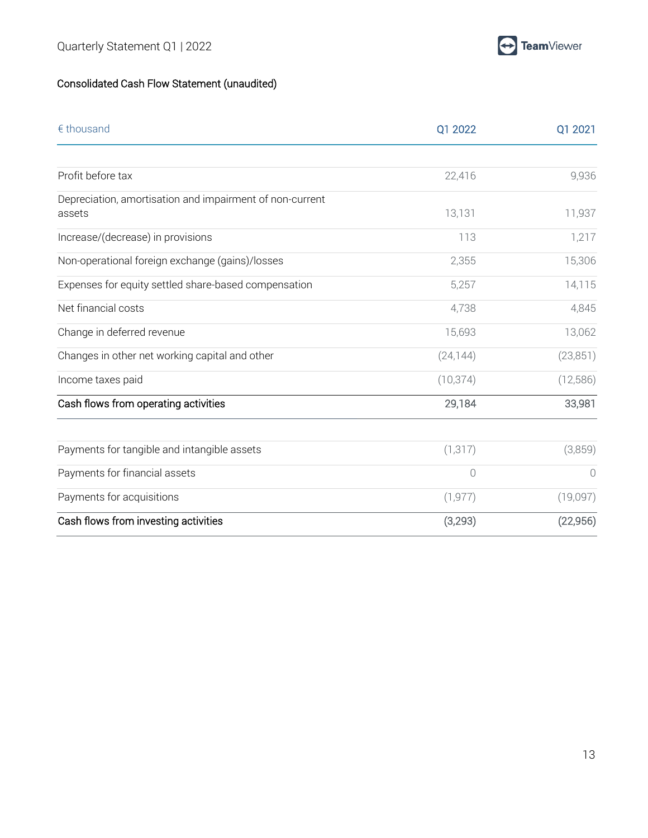

### Consolidated Cash Flow Statement (unaudited)

| $\epsilon$ thousand                                                | Q1 2022        | Q1 2021    |
|--------------------------------------------------------------------|----------------|------------|
|                                                                    |                |            |
| Profit before tax                                                  | 22,416         | 9,936      |
| Depreciation, amortisation and impairment of non-current<br>assets | 13,131         | 11,937     |
| Increase/(decrease) in provisions                                  | 113            | 1,217      |
| Non-operational foreign exchange (gains)/losses                    | 2,355          | 15,306     |
| Expenses for equity settled share-based compensation               | 5,257          | 14,115     |
| Net financial costs                                                | 4,738          | 4,845      |
| Change in deferred revenue                                         | 15,693         | 13,062     |
| Changes in other net working capital and other                     | (24, 144)      | (23, 851)  |
| Income taxes paid                                                  | (10, 374)      | (12, 586)  |
| Cash flows from operating activities                               | 29,184         | 33,981     |
| Payments for tangible and intangible assets                        | (1, 317)       | (3,859)    |
| Payments for financial assets                                      | $\overline{0}$ | $\bigcirc$ |
| Payments for acquisitions                                          | (1, 977)       | (19,097)   |
| Cash flows from investing activities                               | (3, 293)       | (22,956)   |